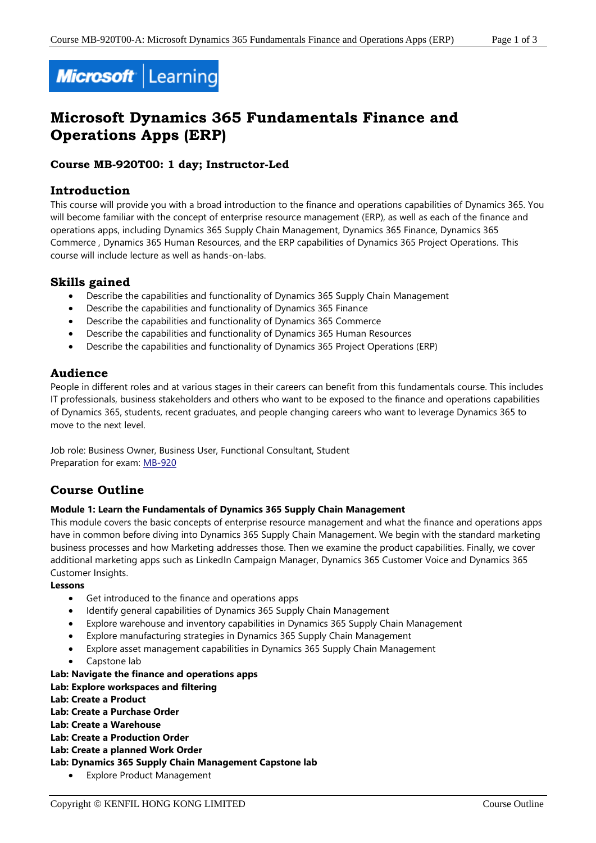

# **Microsoft Dynamics 365 Fundamentals Finance and Operations Apps (ERP)**

# **Course MB-920T00: 1 day; Instructor-Led**

# **Introduction**

This course will provide you with a broad introduction to the finance and operations capabilities of Dynamics 365. You will become familiar with the concept of enterprise resource management (ERP), as well as each of the finance and operations apps, including Dynamics 365 Supply Chain Management, Dynamics 365 Finance, Dynamics 365 Commerce , Dynamics 365 Human Resources, and the ERP capabilities of Dynamics 365 Project Operations. This course will include lecture as well as hands-on-labs.

# **Skills gained**

- Describe the capabilities and functionality of Dynamics 365 Supply Chain Management
- Describe the capabilities and functionality of Dynamics 365 Finance
- Describe the capabilities and functionality of Dynamics 365 Commerce
- Describe the capabilities and functionality of Dynamics 365 Human Resources
- Describe the capabilities and functionality of Dynamics 365 Project Operations (ERP)

# **Audience**

People in different roles and at various stages in their careers can benefit from this fundamentals course. This includes IT professionals, business stakeholders and others who want to be exposed to the finance and operations capabilities of Dynamics 365, students, recent graduates, and people changing careers who want to leverage Dynamics 365 to move to the next level.

Job role: Business Owner, Business User, Functional Consultant, Student Preparation for exam: [MB-920](https://docs.microsoft.com/en-us/learn/certifications/exams/mb-920)

# **Course Outline**

## **Module 1: Learn the Fundamentals of Dynamics 365 Supply Chain Management**

This module covers the basic concepts of enterprise resource management and what the finance and operations apps have in common before diving into Dynamics 365 Supply Chain Management. We begin with the standard marketing business processes and how Marketing addresses those. Then we examine the product capabilities. Finally, we cover additional marketing apps such as LinkedIn Campaign Manager, Dynamics 365 Customer Voice and Dynamics 365 Customer Insights.

**Lessons**

- Get introduced to the finance and operations apps
- Identify general capabilities of Dynamics 365 Supply Chain Management
- Explore warehouse and inventory capabilities in Dynamics 365 Supply Chain Management
- Explore manufacturing strategies in Dynamics 365 Supply Chain Management
- Explore asset management capabilities in Dynamics 365 Supply Chain Management
- Capstone lab

#### **Lab: Navigate the finance and operations apps**

# **Lab: Explore workspaces and filtering**

**Lab: Create a Product**

**Lab: Create a Purchase Order**

- **Lab: Create a Warehouse**
- **Lab: Create a Production Order**
- **Lab: Create a planned Work Order**

**Lab: Dynamics 365 Supply Chain Management Capstone lab**

• Explore Product Management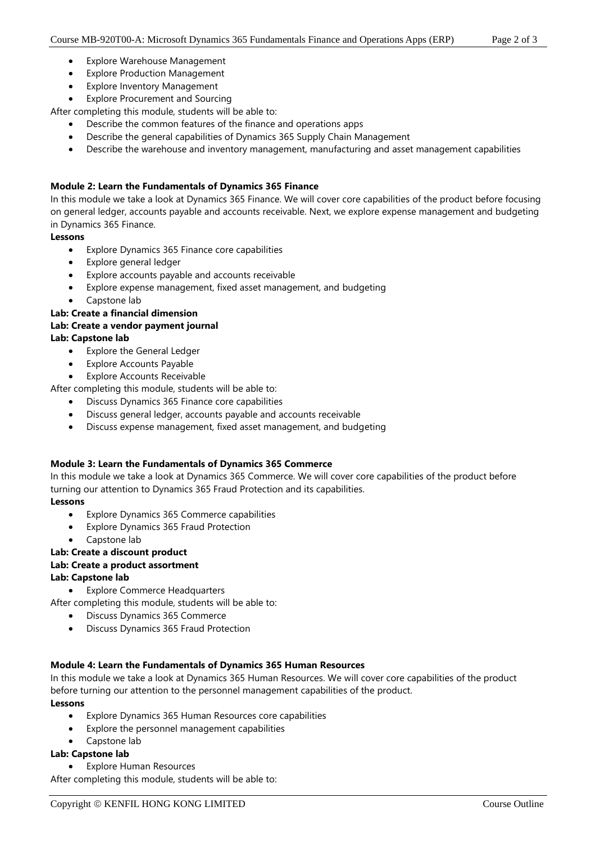- Explore Warehouse Management
- **Explore Production Management**
- **Explore Inventory Management**
- **Explore Procurement and Sourcing**

After completing this module, students will be able to:

- Describe the common features of the finance and operations apps
- Describe the general capabilities of Dynamics 365 Supply Chain Management
- Describe the warehouse and inventory management, manufacturing and asset management capabilities

## **Module 2: Learn the Fundamentals of Dynamics 365 Finance**

In this module we take a look at Dynamics 365 Finance. We will cover core capabilities of the product before focusing on general ledger, accounts payable and accounts receivable. Next, we explore expense management and budgeting in Dynamics 365 Finance.

#### **Lessons**

- Explore Dynamics 365 Finance core capabilities
- Explore general ledger
- Explore accounts payable and accounts receivable
- Explore expense management, fixed asset management, and budgeting
- Capstone lab
- **Lab: Create a financial dimension**

# **Lab: Create a vendor payment journal**

# **Lab: Capstone lab**

- Explore the General Ledger
- **Explore Accounts Payable**
- **Explore Accounts Receivable**

After completing this module, students will be able to:

- Discuss Dynamics 365 Finance core capabilities
- Discuss general ledger, accounts payable and accounts receivable
- Discuss expense management, fixed asset management, and budgeting

#### **Module 3: Learn the Fundamentals of Dynamics 365 Commerce**

In this module we take a look at Dynamics 365 Commerce. We will cover core capabilities of the product before turning our attention to Dynamics 365 Fraud Protection and its capabilities.

#### **Lessons**

- Explore Dynamics 365 Commerce capabilities
- Explore Dynamics 365 Fraud Protection
- Capstone lab

# **Lab: Create a discount product**

# **Lab: Create a product assortment**

## **Lab: Capstone lab**

• Explore Commerce Headquarters

After completing this module, students will be able to:

- Discuss Dynamics 365 Commerce
- Discuss Dynamics 365 Fraud Protection

#### **Module 4: Learn the Fundamentals of Dynamics 365 Human Resources**

In this module we take a look at Dynamics 365 Human Resources. We will cover core capabilities of the product before turning our attention to the personnel management capabilities of the product. **Lessons**

- Explore Dynamics 365 Human Resources core capabilities
- Explore the personnel management capabilities
- Capstone lab

#### **Lab: Capstone lab**

• Explore Human Resources

After completing this module, students will be able to: